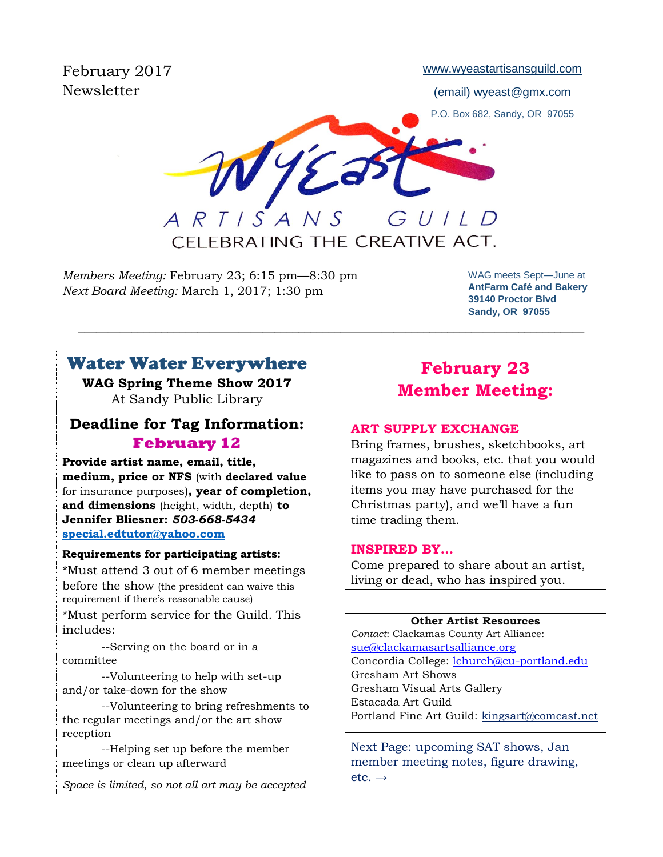February 2017 **Newsletter** 

[www.wyeastartisansguild.com](http://www.wyeastartisansguild.com/)

(email) wyeast@gmx.com

P.O. Box 682, Sandy, OR 97055

WYE GUILD ARTISANS

CFLEBRATING THE CREATIVE ACT.

\_\_\_\_\_\_\_\_\_\_\_\_\_\_\_\_\_\_\_\_\_\_\_\_\_\_\_\_\_\_\_\_\_\_\_\_\_\_\_\_\_\_\_\_\_\_\_\_\_\_\_\_\_\_\_\_\_\_\_\_\_\_\_\_\_\_\_\_\_\_\_\_\_\_\_\_\_\_\_\_\_\_\_\_\_

*Members Meeting:* February 23; 6:15 pm—8:30 pm *Next Board Meeting:* March 1, 2017; 1:30 pm

WAG meets Sept—June at **AntFarm Café and Bakery 39140 Proctor Blvd Sandy, OR 97055**

# Water Water Everywhere

**WAG Spring Theme Show 2017** At Sandy Public Library

## **Deadline for Tag Information: February 12**

**Provide artist name, email, title, medium, price or NFS** (with **declared value** for insurance purposes)**, year of completion, and dimensions** (height, width, depth) **to Jennifer Bliesner:** *503-668-5434* **[special.edtutor@yahoo.com](mailto:special.edtutor@yahoo.com)**

### **Requirements for participating artists:**

\*Must attend 3 out of 6 member meetings before the show (the president can waive this requirement if there's reasonable cause)

\*Must perform service for the Guild. This includes:

--Serving on the board or in a committee

--Volunteering to help with set-up and/or take-down for the show

--Volunteering to bring refreshments to the regular meetings and/or the art show reception

--Helping set up before the member meetings or clean up afterward

*Space is limited, so not all art may be accepted*

# **February 23 Member Meeting:**

### **ART SUPPLY EXCHANGE**

Bring frames, brushes, sketchbooks, art magazines and books, etc. that you would like to pass on to someone else (including items you may have purchased for the Christmas party), and we'll have a fun time trading them.

### **INSPIRED BY…**

Come prepared to share about an artist, living or dead, who has inspired you.

#### **Other Artist Resources**

*Contact*: Clackamas County Art Alliance: [sue@clackamasartsalliance.org](mailto:sue@clackamasartsalliance.org) Concordia College: *lchurch@cu-portland.edu* Gresham Art Shows Gresham Visual Arts Gallery Estacada Art Guild Portland Fine Art Guild: [kingsart@comcast.net](mailto:kingsart@comcast.net)

Next Page: upcoming SAT shows, Jan member meeting notes, figure drawing,  $etc. \rightarrow$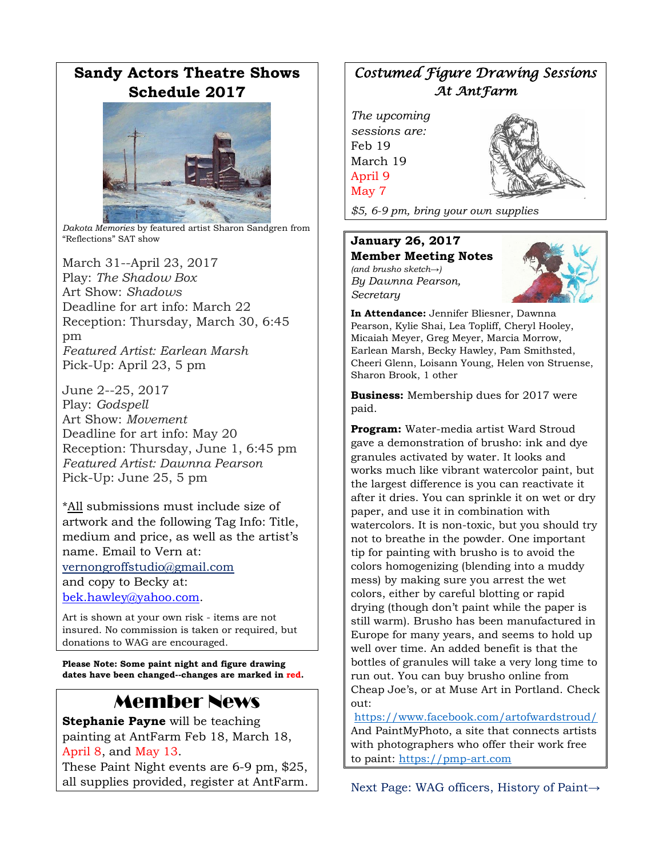# **Sandy Actors Theatre Shows Schedule 2017**



*Dakota Memories* by featured artist Sharon Sandgren from "Reflections" SAT show

March 31--April 23, 2017 Play: *The Shadow Box* Art Show: *Shadows* Deadline for art info: March 22 Reception: Thursday, March 30, 6:45 pm *Featured Artist: Earlean Marsh* Pick-Up: April 23, 5 pm

June 2--25, 2017 Play: *Godspell* Art Show: *Movement* Deadline for art info: May 20 Reception: Thursday, June 1, 6:45 pm *Featured Artist: Dawnna Pearson* Pick-Up: June 25, 5 pm

\*All submissions must include size of artwork and the following Tag Info: Title, medium and price, as well as the artist's name. Email to Vern at: [vernongroffstudio@gmail.com](mailto:Vernongroffstudio@gmail.com) and copy to Becky at: [bek.hawley@yahoo.com.](mailto:bek.hawley@yahoo.com)

Art is shown at your own risk - items are not insured. No commission is taken or required, but donations to WAG are encouraged.

**Please Note: Some paint night and figure drawing dates have been changed--changes are marked in red.**

# Member News

**Stephanie Payne** will be teaching painting at AntFarm Feb 18, March 18, April 8, and May 13.

These Paint Night events are 6-9 pm, \$25, all supplies provided, register at AntFarm.

# *Costumed Figure Drawing Sessions At AntFarm*

*The upcoming sessions are:* Feb 19 March 19 April 9 May 7



*\$5, 6-9 pm, bring your own supplies*

#### **January 26, 2017 Member Meeting Notes**

*(and brusho sketch→) By Dawnna Pearson, Secretary*



**In Attendance:** Jennifer Bliesner, Dawnna Pearson, Kylie Shai, Lea Topliff, Cheryl Hooley, Micaiah Meyer, Greg Meyer, Marcia Morrow, Earlean Marsh, Becky Hawley, Pam Smithsted, Cheeri Glenn, Loisann Young, Helen von Struense, Sharon Brook, 1 other

**Business:** Membership dues for 2017 were paid.

**Program:** Water-media artist Ward Stroud gave a demonstration of brusho: ink and dye granules activated by water. It looks and works much like vibrant watercolor paint, but the largest difference is you can reactivate it after it dries. You can sprinkle it on wet or dry paper, and use it in combination with watercolors. It is non-toxic, but you should try not to breathe in the powder. One important tip for painting with brusho is to avoid the colors homogenizing (blending into a muddy mess) by making sure you arrest the wet colors, either by careful blotting or rapid drying (though don't paint while the paper is still warm). Brusho has been manufactured in Europe for many years, and seems to hold up well over time. An added benefit is that the bottles of granules will take a very long time to run out. You can buy brusho online from Cheap Joe's, or at Muse Art in Portland. Check out:

<https://www.facebook.com/artofwardstroud/> And PaintMyPhoto, a site that connects artists with photographers who offer their work free to paint: [https://pmp-art.com](https://pmp-art.com/)

Next Page: WAG officers, History of Paint→